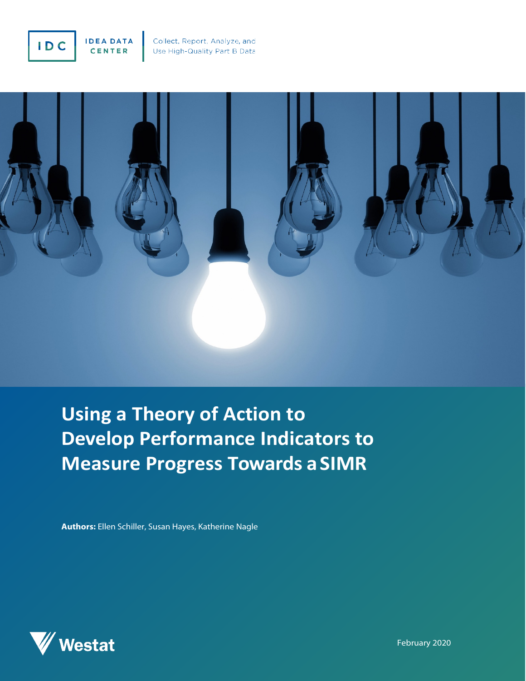



**Using a Theory of Action to Develop Performance Indicators to Measure Progress Towards a SIMR**

**Authors:** Ellen Schiller, Susan Hayes, Katherine Nagle



February 2020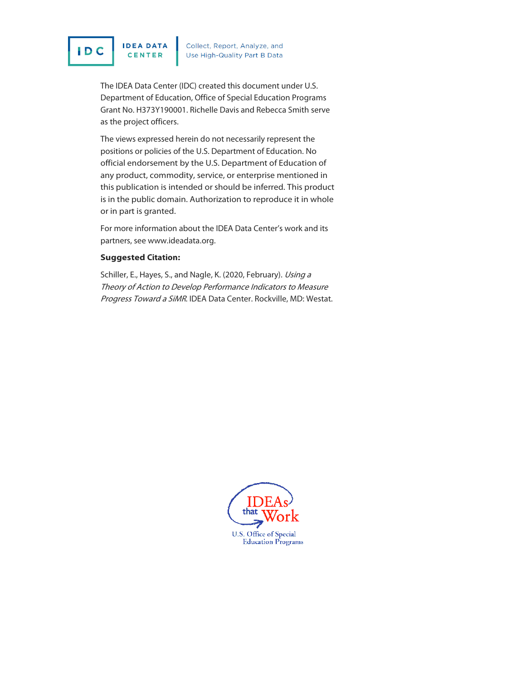

**IDEA DATA** CENTER

Collect, Report, Analyze, and<br>Use High-Quality Part B Data

The IDEA Data Center (IDC) created this document under U.S. Department of Education, Office of Special Education Programs Grant No. H373Y190001. Richelle Davis and Rebecca Smith serve as the project officers.

The views expressed herein do not necessarily represent the positions or policies of the U.S. Department of Education. No official endorsement by the U.S. Department of Education of any product, commodity, service, or enterprise mentioned in this publication is intended or should be inferred. This product is in the public domain. Authorization to reproduce it in whole or in part is granted.

For more information about the IDEA Data Center's work and its partners, see [www.ideadata.org.](http://www.ideadata.org/)

#### **Suggested Citation:**

Schiller, E., Hayes, S., and Nagle, K. (2020, February). Using a Theory of Action to Develop Performance Indicators to Measure Progress Toward a SiMR. IDEA Data Center. Rockville, MD: Westat.

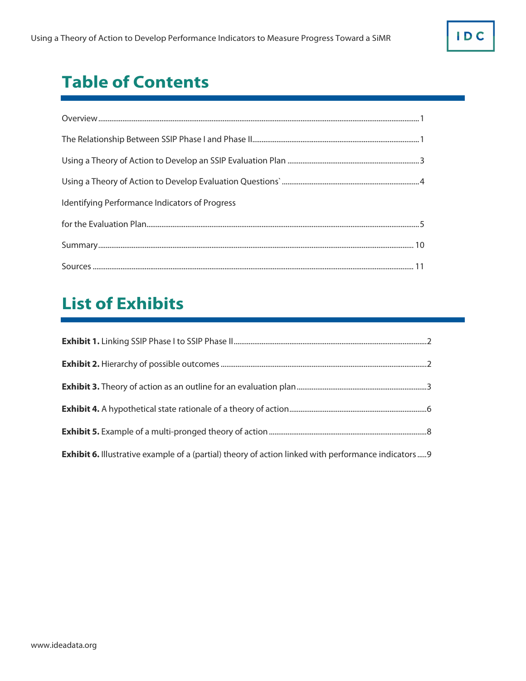**IDC** 

## **Table of Contents**

| Identifying Performance Indicators of Progress |  |
|------------------------------------------------|--|
|                                                |  |
|                                                |  |
|                                                |  |

# **List of Exhibits**

| <b>Exhibit 6.</b> Illustrative example of a (partial) theory of action linked with performance indicators 9 |  |
|-------------------------------------------------------------------------------------------------------------|--|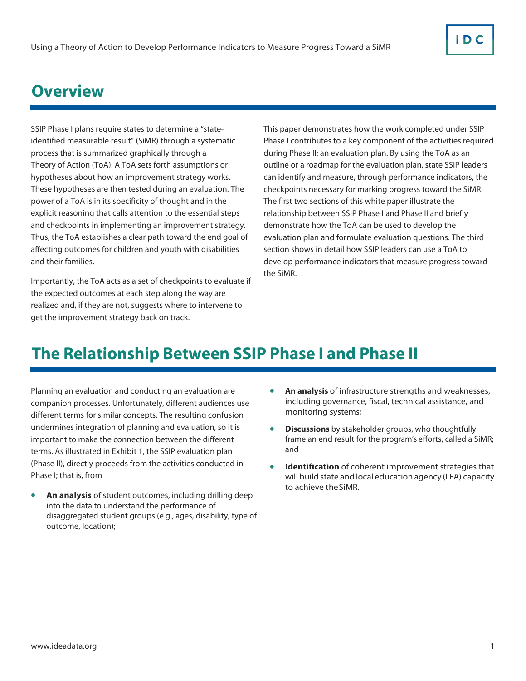### <span id="page-3-0"></span>**Overview**

SSIP Phase I plans require states to determine a "stateidentified measurable result" (SiMR) through a systematic process that is summarized graphically through a Theory of Action (ToA). A ToA sets forth assumptions or hypotheses about how an improvement strategy works. These hypotheses are then tested during an evaluation. The power of a ToA is in its specificity of thought and in the explicit reasoning that calls attention to the essential steps and checkpoints in implementing an improvement strategy. Thus, the ToA establishes a clear path toward the end goal of affecting outcomes for children and youth with disabilities and their families.

Importantly, the ToA acts as a set of checkpoints to evaluate if the expected outcomes at each step along the way are realized and, if they are not, suggests where to intervene to get the improvement strategy back on track.

This paper demonstrates how the work completed under SSIP Phase I contributes to a key component of the activities required during Phase II: an evaluation plan. By using the ToA as an outline or a roadmap for the evaluation plan, state SSIP leaders can identify and measure, through performance indicators, the checkpoints necessary for marking progress toward the SiMR. The first two sections of this white paper illustrate the relationship between SSIP Phase I and Phase II and briefly demonstrate how the ToA can be used to develop the evaluation plan and formulate evaluation questions. The third section shows in detail how SSIP leaders can use a ToA to develop performance indicators that measure progress toward the SiMR.

### **The Relationship Between SSIP Phase I and Phase II**

Planning an evaluation and conducting an evaluation are companion processes. Unfortunately, different audiences use different terms for similar concepts. The resulting confusion undermines integration of planning and evaluation, so it is important to make the connection between the different terms. As illustrated in Exhibit 1, the SSIP evaluation plan (Phase II), directly proceeds from the activities conducted in Phase I; that is, from

• **An analysis** of student outcomes, including drilling deep into the data to understand the performance of disaggregated student groups (e.g., ages, disability, type of outcome, location);

- **An analysis** of infrastructure strengths and weaknesses, including governance, fiscal, technical assistance, and monitoring systems;
- **Discussions** by stakeholder groups, who thoughtfully frame an end result for the program's efforts, called a SiMR; and
- **Identification** of coherent improvement strategies that will build state and local education agency (LEA) capacity to achieve theSiMR.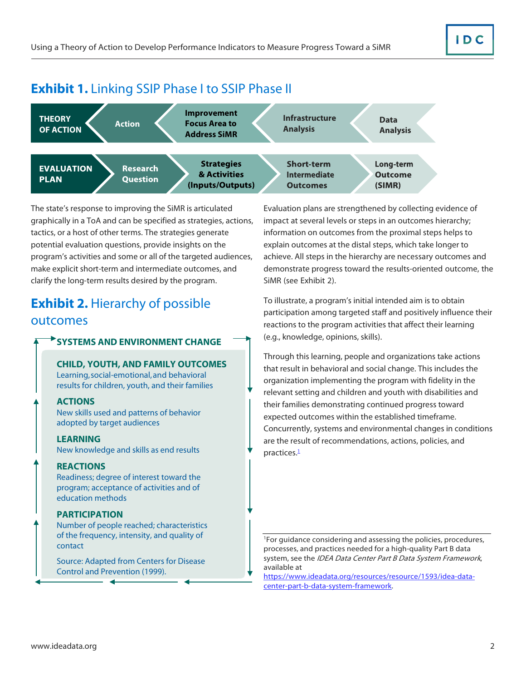#### <span id="page-4-0"></span>**Exhibit 1.** Linking SSIP Phase I to SSIP Phase II



The state's response to improving the SiMR is articulated graphically in a ToA and can be specified as strategies, actions, tactics, or a host of other terms. The strategies generate potential evaluation questions, provide insights on the program's activities and some or all of the targeted audiences, make explicit short-term and intermediate outcomes, and clarify the long-term results desired by the program.

### **Exhibit 2. Hierarchy of possible** outcomes

#### **SYSTEMS AND ENVIRONMENT CHANGE**

**CHILD, YOUTH, AND FAMILY OUTCOMES** Learning,social-emotional,and behavioral results for children, youth, and their families

#### **ACTIONS**

New skills used and patterns of behavior adopted by target audiences

#### **LEARNING**

New knowledge and skills as end results

**REACTIONS**

Readiness; degree of interest toward the program; acceptance of activities and of education methods

#### **PARTICIPATION**

Number of people reached; characteristics of the frequency, intensity, and quality of contact

Source: Adapted from Centers for Disease Control and Prevention (1999).

Evaluation plans are strengthened by collecting evidence of impact at several levels or steps in an outcomes hierarchy; information on outcomes from the proximal steps helps to explain outcomes at the distal steps, which take longer to achieve. All steps in the hierarchy are necessary outcomes and demonstrate progress toward the results-oriented outcome, the SiMR (see Exhibit 2).

To illustrate, a program's initial intended aim is to obtain participation among targeted staff and positively influence their reactions to the program activities that affect their learning (e.g., knowledge, opinions, skills).

Through this learning, people and organizations take actions that result in behavioral and social change. This includes the organization implementing the program with fidelity in the relevant setting and children and youth with disabilities and their families demonstrating continued progress toward expected outcomes within the established timeframe. Concurrently, systems and environmental changes in conditions are the result of recommendations, actions, policies, and practices.<sup>1</sup>

<span id="page-4-1"></span>1 For guidance considering and assessing the policies, procedures, processes, and practices needed for a high-quality Part B data system, see the [IDEA Data Center Part B Data System Framework](https://www.ideadata.org/resources/resource/1593/idea-data-center-part-b-data-system-framework), available at

https://www.ideadata.org/resources/resource/1593/idea-datacenter-part-b-data-system-framework.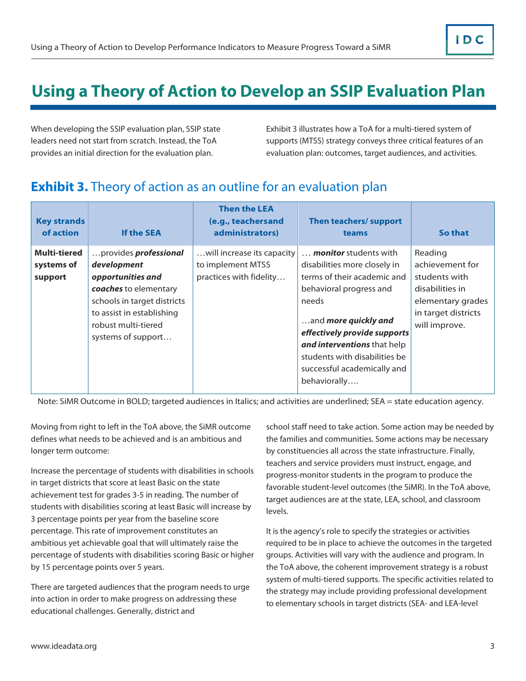## <span id="page-5-0"></span>**Using a Theory of Action to Develop an SSIP Evaluation Plan**

When developing the SSIP evaluation plan, SSIP state leaders need not start from scratch. Instead, the ToA provides an initial direction for the evaluation plan.

Exhibit 3 illustrates how a ToA for a multi-tiered system of supports (MTSS) strategy conveys three critical features of an evaluation plan: outcomes, target audiences, and activities.

#### **Exhibit 3.** Theory of action as an outline for an evaluation plan

| <b>Key strands</b><br>of action              | <b>If the SEA</b>                                                                                                                                                                                  | <b>Then the LEA</b><br>(e.g., teachersand<br>administrators)               | Then teachers/ support<br>teams                                                                                                                                                                                                                                                                        | So that                                                                                                                     |
|----------------------------------------------|----------------------------------------------------------------------------------------------------------------------------------------------------------------------------------------------------|----------------------------------------------------------------------------|--------------------------------------------------------------------------------------------------------------------------------------------------------------------------------------------------------------------------------------------------------------------------------------------------------|-----------------------------------------------------------------------------------------------------------------------------|
| <b>Multi-tiered</b><br>systems of<br>support | provides <i>professional</i><br>development<br>opportunities and<br>coaches to elementary<br>schools in target districts<br>to assist in establishing<br>robust multi-tiered<br>systems of support | will increase its capacity<br>to implement MTSS<br>practices with fidelity | <b>monitor</b> students with<br>disabilities more closely in<br>terms of their academic and<br>behavioral progress and<br>needs<br>and more quickly and<br>effectively provide supports<br>and interventions that help<br>students with disabilities be<br>successful academically and<br>behaviorally | Reading<br>achievement for<br>students with<br>disabilities in<br>elementary grades<br>in target districts<br>will improve. |

Note: SiMR Outcome in BOLD; targeted audiences in Italics; and activities are underlined; SEA = state education agency.

Moving from right to left in the ToA above, the SiMR outcome defines what needs to be achieved and is an ambitious and longer term outcome:

Increase the percentage of students with disabilities in schools in target districts that score at least Basic on the state achievement test for grades 3-5 in reading. The number of students with disabilities scoring at least Basic will increase by 3 percentage points per year from the baseline score percentage. This rate of improvement constitutes an ambitious yet achievable goal that will ultimately raise the percentage of students with disabilities scoring Basic or higher by 15 percentage points over 5 years.

There are targeted audiences that the program needs to urge into action in order to make progress on addressing these educational challenges. Generally, district and

school staff need to take action. Some action may be needed by the families and communities. Some actions may be necessary by constituencies all across the state infrastructure. Finally, teachers and service providers must instruct, engage, and progress-monitor students in the program to produce the favorable student-level outcomes (the SiMR). In the ToA above, target audiences are at the state, LEA, school, and classroom levels.

It is the agency's role to specify the strategies or activities required to be in place to achieve the outcomes in the targeted groups. Activities will vary with the audience and program. In the ToA above, the coherent improvement strategy is a robust system of multi-tiered supports. The specific activities related to the strategy may include providing professional development to elementary schools in target districts (SEA- and LEA-level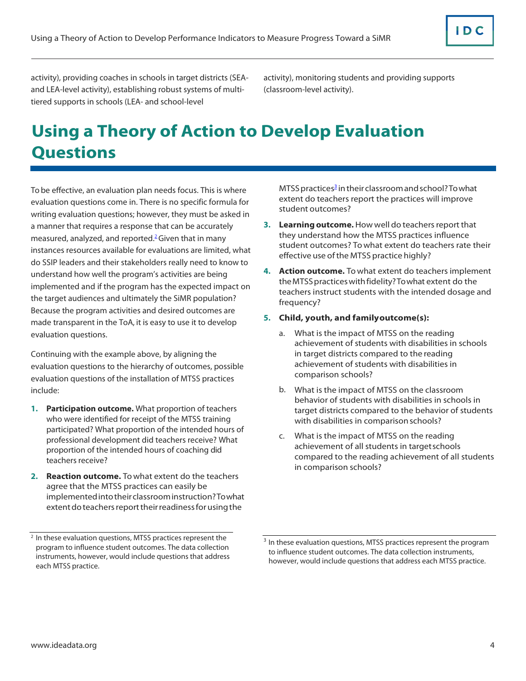<span id="page-6-0"></span>activity), providing coaches in schools in target districts (SEAand LEA-level activity), establishing robust systems of multitiered supports in schools (LEA- and school-level

activity), monitoring students and providing supports (classroom-level activity).

# **Using a Theory of Action to Develop Evaluation Questions**

To be effective, an evaluation plan needs focus. This is where evaluation questions come in. There is no specific formula for writing evaluation questions; however, they must be asked in a manner that requires a response that can be accurately measured, analyzed, and reported.<sup>2</sup> Given that in many instances resources available for evaluations are limited, what do SSIP leaders and their stakeholders really need to know to understand how well the program's activities are being implemented and if the program has the expected impact on the target audiences and ultimately the SiMR population? Because the program activities and desired outcomes are made transparent in the ToA, it is easy to use it to develop evaluation questions.

Continuing with the example above, by aligning the evaluation questions to the hierarchy of outcomes, possible evaluation questions of the installation of MTSS practices include:

- **1. Participation outcome.** What proportion of teachers who were identified for receipt of the MTSS training participated? What proportion of the intended hours of professional development did teachers receive? What proportion of the intended hours of coaching did teachers receive?
- **2. Reaction outcome.** To what extent do the teachers agree that the MTSS practices can easily be implementedintotheirclassroominstruction?Towhat extent do teachers report their readiness for using the

MTSS practices<sup>3</sup> in their classroom and school? To what extent do teachers report the practices will improve student outcomes?

- **3. Learning outcome.** How well do teachers report that they understand how the MTSS practices influence student outcomes? To what extent do teachers rate their effective use of the MTSS practice highly?
- **4. Action outcome.** To what extent do teachers implement theMTSS practices withfidelity?Towhat extent do the teachers instruct students with the intended dosage and frequency?
- **5. Child, youth, and familyoutcome(s):**
	- a. What is the impact of MTSS on the reading achievement of students with disabilities in schools in target districts compared to the reading achievement of students with disabilities in comparison schools?
	- b. What is the impact of MTSS on the classroom behavior of students with disabilities in schools in target districts compared to the behavior of students with disabilities in comparison schools?
	- c. What is the impact of MTSS on the reading achievement of all students in targetschools compared to the reading achievement of all students in comparison schools?

<span id="page-6-1"></span><sup>&</sup>lt;sup>2</sup> In these evaluation questions, MTSS practices represent the program to influence student outcomes. The data collection instruments, however, would include questions that address each MTSS practice.

<span id="page-6-2"></span><sup>&</sup>lt;sup>3</sup> In these evaluation questions, MTSS practices represent the program to influence student outcomes. The data collection instruments, however, would include questions that address each MTSS practice.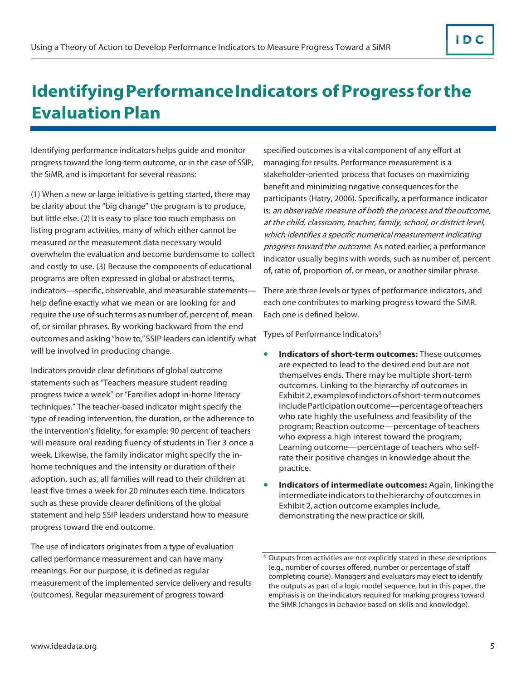## <span id="page-7-0"></span>**Identifying Performance Indicators of Progress for the Evaluation Plan**

Identifying performance indicators helps guide and monitor progress toward the long-term outcome, or in the case of SSIP, the SiMR, and is important for several reasons:

(1) When a new or large initiative is getting started, there may be clarity about the "big change" the program is to produce, but little else. (2) It is easy to place too much emphasis on listing program activities, many of which either cannot be measured or the measurement data necessary would overwhelm the evaluation and become burdensome to collect and costly to use. (3) Because the components of educational programs are often expressed in global or abstract terms, indicators—specific, observable, and measurable statements help define exactly what we mean or are looking for and require the use of such terms as number of, percent of, mean of, or similar phrases. By working backward from the end outcomes and asking"how to," SSIP leaders can identify what will be involved in producing change.

Indicators provide clear definitions of global outcome statements such as "Teachers measure student reading progress twice a week" or "Families adopt in-home literacy techniques." The teacher-based indicator might specify the type of reading intervention, the duration, or the adherence to the intervention's fidelity, for example: 90 percent of teachers will measure oral reading fluency of students in Tier 3 once a week. Likewise, the family indicator might specify the inhome techniques and the intensity or duration of their adoption, such as, all families will read to their children at least five times a week for 20 minutes each time. Indicators such as these provide clearer definitions of the global statement and help SSIP leaders understand how to measure progress toward the end outcome.

The use of indicators originates from a type of evaluation called performance measurement and can have many meanings. For our purpose, it is defined as regular measurement of the implemented service delivery and results (outcomes). Regular measurement of progress toward

specified outcomes is a vital component of any effort at managing for results. Performance measurement is a stakeholder-oriented process that focuses on maximizing benefit and minimizing negative consequences for the participants (Hatry, 2006). Specifically, a performance indicator is: an observable measure of both the process and theoutcome, at the child, classroom, teacher, family, school, or district level, which identifies a specific numericalmeasurement indicating progress toward the outcome. As noted earlier, a performance indicator usually begins with words, such as number of, percent of, ratio of, proportion of, or mean, or another similar phrase.

There are three levels or types of performance indicators, and each one contributes to marking progress toward the SiMR. Each one is defined below.

Types of Performance Indicators<sup>4</sup>

- **Indicators of short-term outcomes:** These outcomes are expected to lead to the desired end but are not themselves ends. There may be multiple short-term outcomes. Linking to the hierarchy of outcomes in Exhibit2,examplesofindictorsofshort-term outcomes includeParticipation outcome—percentage ofteachers who rate highly the usefulness and feasibility of the program; Reaction outcome—percentage of teachers who express a high interest toward the program; Learning outcome—percentage of teachers who selfrate their positive changes in knowledge about the practice.
- **Indicators of intermediate outcomes:** Again, linkingthe intermediate indicators to the hierarchy of outcomes in Exhibit 2, action outcome examples include, demonstrating the new practice orskill,

<span id="page-7-1"></span><sup>4</sup> Outputs from activities are not explicitly stated in these descriptions (e.g., number of courses offered, number or percentage of staff completing course). Managers and evaluators may elect to identify the outputs as part of a logic model sequence, but in this paper, the emphasis is on the indicators required for marking progress toward the SiMR (changes in behavior based on skills and knowledge).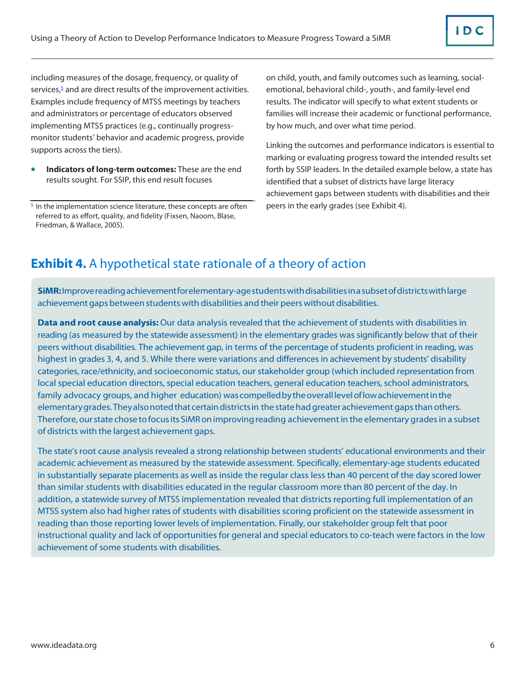<span id="page-8-0"></span>including measures of the dosage, frequency, or quality of services, $\frac{5}{2}$  and are direct results of the improvement activities. Examples include frequency of MTSS meetings by teachers and administrators or percentage of educators observed implementing MTSS practices (e.g., continually progressmonitor students' behavior and academic progress, provide supports across the tiers).

• **Indicators of long-term outcomes:** These are the end results sought. For SSIP, this end result focuses

on child, youth, and family outcomes such as learning, socialemotional, behavioral child-, youth-, and family-level end results. The indicator will specify to what extent students or families will increase their academic or functional performance, by how much, and over what time period.

Linking the outcomes and performance indicators is essential to marking or evaluating progress toward the intended results set forth by SSIP leaders. In the detailed example below, a state has identified that a subset of districts have large literacy achievement gaps between students with disabilities and their peers in the early grades (see Exhibit 4).

#### **Exhibit 4.** A hypothetical state rationale of a theory of action

**SiMR:** Improvereadingachievementforelementary-agestudentswithdisabilitiesin a subsetofdistrictswithlarge achievement gaps between students with disabilities and their peers without disabilities.

**Data and root cause analysis:** Our data analysis revealed that the achievement of students with disabilities in reading (as measured by the statewide assessment) in the elementary grades was significantly below that of their peers without disabilities. The achievement gap, in terms of the percentage of students proficient in reading, was highest in grades 3, 4, and 5. While there were variations and differences in achievement by students' disability categories, race/ethnicity, and socioeconomic status, our stakeholder group (which included representation from local special education directors, special education teachers, general education teachers, school administrators, family advocacy groups, and higher education) was compelled by the overall level of low achievement in the elementarygrades.Theyalsonotedthatcertaindistrictsin the statehadgreater achievementgapsthanothers. Therefore, our state chose to focus its SiMR on improving reading achievement in the elementary grades in a subset of districts with the largest achievement gaps.

The state's root cause analysis revealed a strong relationship between students' educational environments and their academic achievement as measured by the statewide assessment. Specifically, elementary-age students educated in substantially separate placements as well as inside the regular class less than 40 percent of the day scored lower than similar students with disabilities educated in the regular classroom more than 80 percent of the day. In addition, a statewide survey of MTSS implementation revealed that districts reporting full implementation of an MTSS system also had higher rates of students with disabilities scoring proficient on the statewide assessment in reading than those reporting lower levels of implementation. Finally, our stakeholder group felt that poor instructional quality and lack of opportunities for general and special educators to co-teach were factors in the low achievement of some students with disabilities.

<span id="page-8-1"></span><sup>&</sup>lt;sup>5</sup> In the implementation science literature, these concepts are often referred to as effort, quality, and fidelity (Fixsen, Naoom, Blase, Friedman, & Wallace, 2005).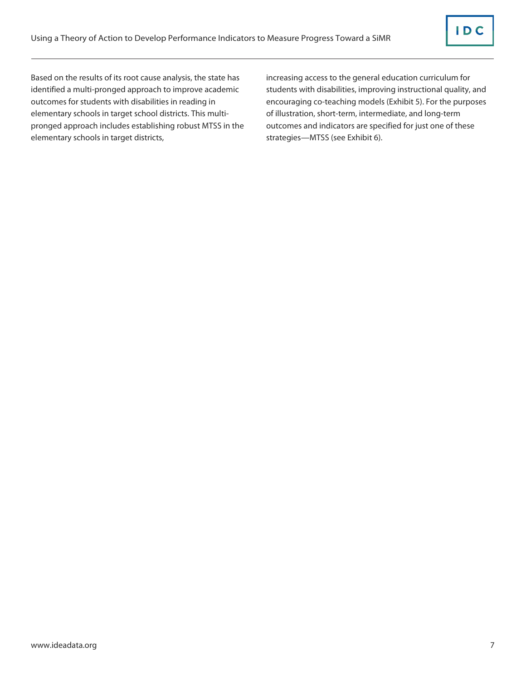Based on the results of its root cause analysis, the state has identified a multi-pronged approach to improve academic outcomes for students with disabilities in reading in elementary schools in target school districts. This multipronged approach includes establishing robust MTSS in the elementary schools in target districts,

increasing access to the general education curriculum for students with disabilities, improving instructional quality, and encouraging co-teaching models (Exhibit 5). For the purposes of illustration, short-term, intermediate, and long-term outcomes and indicators are specified for just one of these strategies—MTSS (see Exhibit 6).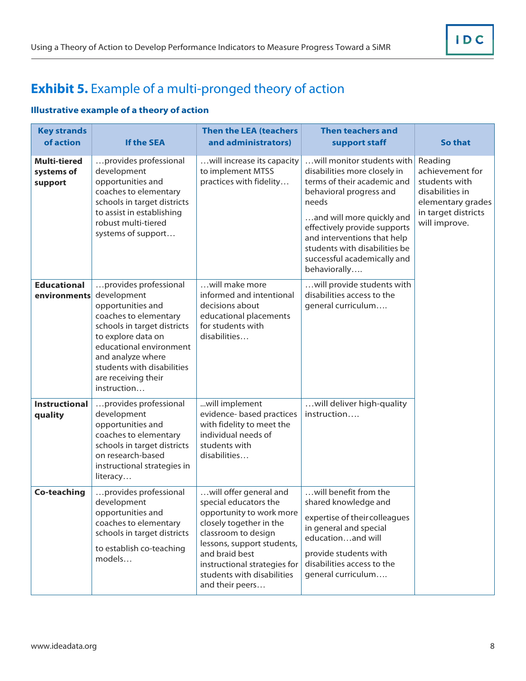### **Exhibit 5.** Example of a multi-pronged theory of action

#### **Illustrative example of a theory of action**

| <b>Key strands</b><br>of action              | <b>If the SEA</b>                                                                                                                                                                                                                                           | <b>Then the LEA (teachers</b><br>and administrators)                                                                                                                                                                                                           | <b>Then teachers and</b><br>support staff                                                                                                                                                                                                                                                                 | So that                                                                                                                     |  |
|----------------------------------------------|-------------------------------------------------------------------------------------------------------------------------------------------------------------------------------------------------------------------------------------------------------------|----------------------------------------------------------------------------------------------------------------------------------------------------------------------------------------------------------------------------------------------------------------|-----------------------------------------------------------------------------------------------------------------------------------------------------------------------------------------------------------------------------------------------------------------------------------------------------------|-----------------------------------------------------------------------------------------------------------------------------|--|
| <b>Multi-tiered</b><br>systems of<br>support | provides professional<br>development<br>opportunities and<br>coaches to elementary<br>schools in target districts<br>to assist in establishing<br>robust multi-tiered<br>systems of support                                                                 | will increase its capacity<br>to implement MTSS<br>practices with fidelity                                                                                                                                                                                     | will monitor students with<br>disabilities more closely in<br>terms of their academic and<br>behavioral progress and<br>needs<br>and will more quickly and<br>effectively provide supports<br>and interventions that help<br>students with disabilities be<br>successful academically and<br>behaviorally | Reading<br>achievement for<br>students with<br>disabilities in<br>elementary grades<br>in target districts<br>will improve. |  |
| <b>Educational</b><br>environments           | provides professional<br>development<br>opportunities and<br>coaches to elementary<br>schools in target districts<br>to explore data on<br>educational environment<br>and analyze where<br>students with disabilities<br>are receiving their<br>instruction | will make more<br>informed and intentional<br>decisions about<br>educational placements<br>for students with<br>disabilities                                                                                                                                   | will provide students with<br>disabilities access to the<br>general curriculum                                                                                                                                                                                                                            |                                                                                                                             |  |
| <b>Instructional</b><br>quality              | provides professional<br>development<br>opportunities and<br>coaches to elementary<br>schools in target districts<br>on research-based<br>instructional strategies in<br>literacy                                                                           | will implement<br>evidence- based practices<br>with fidelity to meet the<br>individual needs of<br>students with<br>disabilities                                                                                                                               | will deliver high-quality<br>instruction                                                                                                                                                                                                                                                                  |                                                                                                                             |  |
| <b>Co-teaching</b>                           | provides professional<br>development<br>opportunities and<br>coaches to elementary<br>schools in target districts<br>to establish co-teaching<br>models                                                                                                     | will offer general and<br>special educators the<br>opportunity to work more<br>closely together in the<br>classroom to design<br>lessons, support students,<br>and braid best<br>instructional strategies for<br>students with disabilities<br>and their peers | will benefit from the<br>shared knowledge and<br>expertise of their colleagues<br>in general and special<br>educationand will<br>provide students with<br>disabilities access to the<br>general curriculum                                                                                                |                                                                                                                             |  |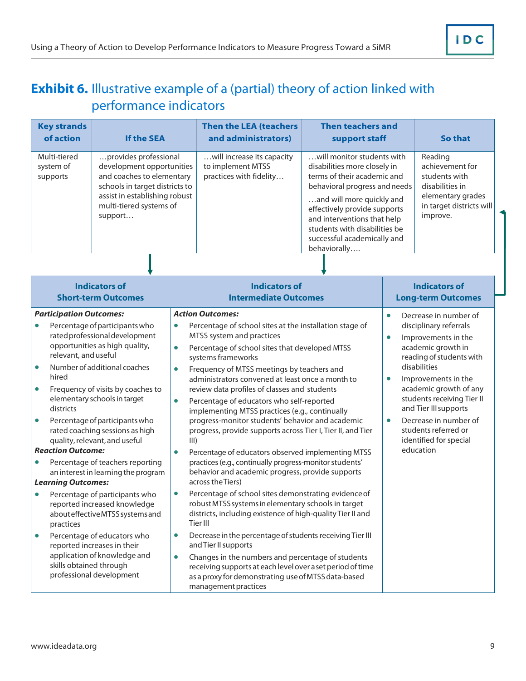### <span id="page-11-0"></span>**Exhibit 6.** Illustrative example of a (partial) theory of action linked with performance indicators

|                                                  | <b>Key strands</b><br>of action                                                                                                       | <b>If the SEA</b>                                                                                                                                                                                                                                                                                                                                                                        |                                                                       | <b>Then the LEA (teachers</b><br>and administrators)                                                                                                                                                                                                                                                                                                                                                                                                                                                                                                                                                                                                                                                                                                  | <b>Then teachers and</b><br>support staff                                                                                                                                                                                                                                                              |                                     | So that                                                                                                                                                                                                                                                                                                                                  |
|--------------------------------------------------|---------------------------------------------------------------------------------------------------------------------------------------|------------------------------------------------------------------------------------------------------------------------------------------------------------------------------------------------------------------------------------------------------------------------------------------------------------------------------------------------------------------------------------------|-----------------------------------------------------------------------|-------------------------------------------------------------------------------------------------------------------------------------------------------------------------------------------------------------------------------------------------------------------------------------------------------------------------------------------------------------------------------------------------------------------------------------------------------------------------------------------------------------------------------------------------------------------------------------------------------------------------------------------------------------------------------------------------------------------------------------------------------|--------------------------------------------------------------------------------------------------------------------------------------------------------------------------------------------------------------------------------------------------------------------------------------------------------|-------------------------------------|------------------------------------------------------------------------------------------------------------------------------------------------------------------------------------------------------------------------------------------------------------------------------------------------------------------------------------------|
|                                                  | Multi-tiered<br>system of<br>supports                                                                                                 | provides professional<br>development opportunities<br>and coaches to elementary<br>schools in target districts to<br>assist in establishing robust<br>multi-tiered systems of<br>support                                                                                                                                                                                                 |                                                                       | will increase its capacity<br>to implement MTSS<br>practices with fidelity                                                                                                                                                                                                                                                                                                                                                                                                                                                                                                                                                                                                                                                                            | will monitor students with<br>disabilities more closely in<br>terms of their academic and<br>behavioral progress and needs<br>and will more quickly and<br>effectively provide supports<br>and interventions that help<br>students with disabilities be<br>successful academically and<br>behaviorally |                                     | Reading<br>achievement for<br>students with<br>disabilities in<br>elementary grades<br>in target districts will<br>improve.                                                                                                                                                                                                              |
|                                                  |                                                                                                                                       | <b>Indicators of</b><br><b>Short-term Outcomes</b>                                                                                                                                                                                                                                                                                                                                       |                                                                       | <b>Indicators of</b><br><b>Intermediate Outcomes</b>                                                                                                                                                                                                                                                                                                                                                                                                                                                                                                                                                                                                                                                                                                  |                                                                                                                                                                                                                                                                                                        |                                     | <b>Indicators of</b><br><b>Long-term Outcomes</b>                                                                                                                                                                                                                                                                                        |
| $\bullet$<br>$\bullet$<br>$\bullet$<br>$\bullet$ | <b>Participation Outcomes:</b><br>relevant, and useful<br>hired<br>districts<br><b>Reaction Outcome:</b><br><b>Learning Outcomes:</b> | Percentage of participants who<br>rated professional development<br>opportunities as high quality,<br>Number of additional coaches<br>Frequency of visits by coaches to<br>elementary schools in target<br>Percentage of participants who<br>rated coaching sessions as high<br>quality, relevant, and useful<br>Percentage of teachers reporting<br>an interest in learning the program | $\bullet$<br>$\bullet$<br>$\bullet$<br>$\bullet$<br>III)<br>$\bullet$ | <b>Action Outcomes:</b><br>Percentage of school sites at the installation stage of<br>MTSS system and practices<br>Percentage of school sites that developed MTSS<br>systems frameworks<br>Frequency of MTSS meetings by teachers and<br>administrators convened at least once a month to<br>review data profiles of classes and students<br>Percentage of educators who self-reported<br>implementing MTSS practices (e.g., continually<br>progress-monitor students' behavior and academic<br>progress, provide supports across Tier I, Tier II, and Tier<br>Percentage of educators observed implementing MTSS<br>practices (e.g., continually progress-monitor students'<br>behavior and academic progress, provide supports<br>across the Tiers) |                                                                                                                                                                                                                                                                                                        | $\bullet$<br>$\bullet$<br>$\bullet$ | Decrease in number of<br>disciplinary referrals<br>Improvements in the<br>academic growth in<br>reading of students with<br>disabilities<br>Improvements in the<br>academic growth of any<br>students receiving Tier II<br>and Tier III supports<br>Decrease in number of<br>students referred or<br>identified for special<br>education |
| $\bullet$                                        | practices<br>skills obtained through                                                                                                  | Percentage of participants who<br>reported increased knowledge<br>about effective MTSS systems and<br>Percentage of educators who<br>reported increases in their<br>application of knowledge and<br>professional development                                                                                                                                                             | $\bullet$<br>$\bullet$<br>$\bullet$                                   | Percentage of school sites demonstrating evidence of<br>robust MTSS systems in elementary schools in target<br>districts, including existence of high-quality Tier II and<br>Tier III<br>Decrease in the percentage of students receiving Tier III<br>and Tier II supports<br>Changes in the numbers and percentage of students<br>receiving supports at each level over a set period of time<br>as a proxy for demonstrating use of MTSS data-based<br>management practices                                                                                                                                                                                                                                                                          |                                                                                                                                                                                                                                                                                                        |                                     |                                                                                                                                                                                                                                                                                                                                          |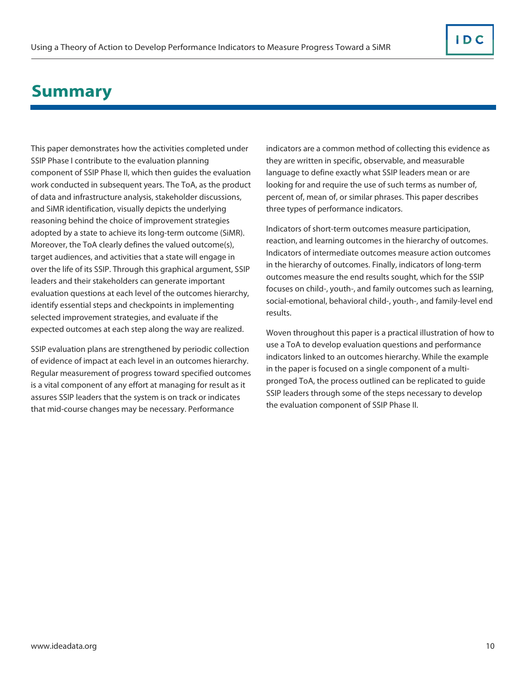## <span id="page-12-0"></span>**Summary**

This paper demonstrates how the activities completed under SSIP Phase I contribute to the evaluation planning component of SSIP Phase II, which then guides the evaluation work conducted in subsequent years. The ToA, as the product of data and infrastructure analysis, stakeholder discussions, and SiMR identification, visually depicts the underlying reasoning behind the choice of improvement strategies adopted by a state to achieve its long-term outcome (SiMR). Moreover, the ToA clearly defines the valued outcome(s), target audiences, and activities that a state will engage in over the life of its SSIP. Through this graphical argument, SSIP leaders and their stakeholders can generate important evaluation questions at each level of the outcomes hierarchy, identify essential steps and checkpoints in implementing selected improvement strategies, and evaluate if the expected outcomes at each step along the way are realized.

SSIP evaluation plans are strengthened by periodic collection of evidence of impact at each level in an outcomes hierarchy. Regular measurement of progress toward specified outcomes is a vital component of any effort at managing for result as it assures SSIP leaders that the system is on track or indicates that mid-course changes may be necessary. Performance

indicators are a common method of collecting this evidence as they are written in specific, observable, and measurable language to define exactly what SSIP leaders mean or are looking for and require the use of such terms as number of, percent of, mean of, or similar phrases. This paper describes three types of performance indicators.

Indicators of short-term outcomes measure participation, reaction, and learning outcomes in the hierarchy of outcomes. Indicators of intermediate outcomes measure action outcomes in the hierarchy of outcomes. Finally, indicators of long-term outcomes measure the end results sought, which for the SSIP focuses on child-, youth-, and family outcomes such as learning, social-emotional, behavioral child-, youth-, and family-level end results.

Woven throughout this paper is a practical illustration of how to use a ToA to develop evaluation questions and performance indicators linked to an outcomes hierarchy. While the example in the paper is focused on a single component of a multipronged ToA, the process outlined can be replicated to guide SSIP leaders through some of the steps necessary to develop the evaluation component of SSIP Phase II.